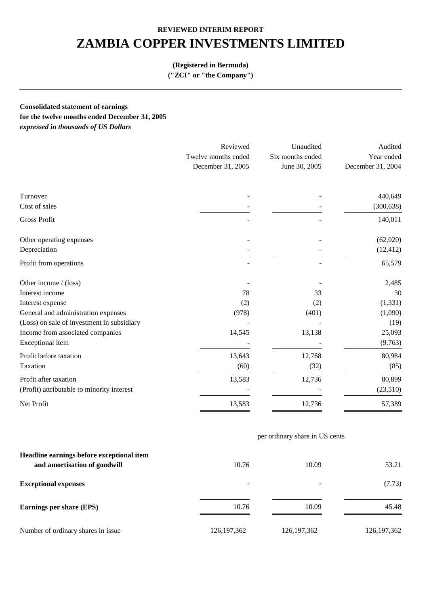# **ZAMBIA COPPER INVESTMENTS LIMITED**

### **(Registered in Bermuda)**

**("ZCI" or "the Company")**

**Consolidated statement of earnings for the twelve months ended December 31, 2005**  *expressed in thousands of US Dollars*

|                                            | Reviewed            | Unaudited        | Audited           |
|--------------------------------------------|---------------------|------------------|-------------------|
|                                            | Twelve months ended | Six months ended | Year ended        |
|                                            | December 31, 2005   | June 30, 2005    | December 31, 2004 |
| Turnover                                   |                     |                  | 440,649           |
| Cost of sales                              |                     |                  | (300, 638)        |
| <b>Gross Profit</b>                        |                     |                  | 140,011           |
| Other operating expenses                   |                     |                  | (62,020)          |
| Depreciation                               |                     |                  | (12, 412)         |
| Profit from operations                     |                     |                  | 65,579            |
| Other income / (loss)                      |                     |                  | 2,485             |
| Interest income                            | 78                  | 33               | 30                |
| Interest expense                           | (2)                 | (2)              | (1, 331)          |
| General and administration expenses        | (978)               | (401)            | (1,090)           |
| (Loss) on sale of investment in subsidiary |                     |                  | (19)              |
| Income from associated companies           | 14,545              | 13,138           | 25,093            |
| Exceptional item                           |                     |                  | (9,763)           |
| Profit before taxation                     | 13,643              | 12,768           | 80,984            |
| Taxation                                   | (60)                | (32)             | (85)              |
| Profit after taxation                      | 13,583              | 12,736           | 80,899            |
| (Profit) attributable to minority interest |                     |                  | (23,510)          |
| Net Profit                                 | 13,583              | 12,736           | 57,389            |

#### per ordinary share in US cents

| Headline earnings before exceptional item |                          |               |               |  |
|-------------------------------------------|--------------------------|---------------|---------------|--|
| and amortisation of goodwill              | 10.76                    | 10.09         | 53.21         |  |
| <b>Exceptional expenses</b>               | $\overline{\phantom{0}}$ |               | (7.73)        |  |
| Earnings per share (EPS)                  | 10.76                    | 10.09         | 45.48         |  |
| Number of ordinary shares in issue        | 126, 197, 362            | 126, 197, 362 | 126, 197, 362 |  |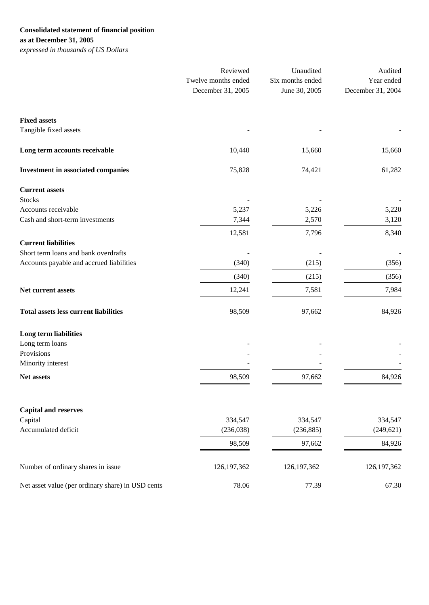## **Consolidated statement of financial position**

**as at December 31, 2005**

*expressed in thousands of US Dollars*

|                                                   | Reviewed            | Unaudited        | Audited           |  |
|---------------------------------------------------|---------------------|------------------|-------------------|--|
|                                                   | Twelve months ended | Six months ended | Year ended        |  |
|                                                   | December 31, 2005   | June 30, 2005    | December 31, 2004 |  |
| <b>Fixed assets</b>                               |                     |                  |                   |  |
| Tangible fixed assets                             |                     |                  |                   |  |
| Long term accounts receivable                     | 10,440              | 15,660           | 15,660            |  |
| <b>Investment in associated companies</b>         | 75,828              | 74,421           | 61,282            |  |
| <b>Current assets</b>                             |                     |                  |                   |  |
| <b>Stocks</b>                                     |                     |                  |                   |  |
| Accounts receivable                               | 5,237               | 5,226            | 5,220             |  |
| Cash and short-term investments                   | 7,344               | 2,570            | 3,120             |  |
|                                                   | 12,581              | 7,796            | 8,340             |  |
| <b>Current liabilities</b>                        |                     |                  |                   |  |
| Short term loans and bank overdrafts              |                     |                  |                   |  |
| Accounts payable and accrued liabilities          | (340)               | (215)            | (356)             |  |
|                                                   | (340)               | (215)            | (356)             |  |
| Net current assets                                | 12,241              | 7,581            | 7,984             |  |
| <b>Total assets less current liabilities</b>      | 98,509              | 97,662           | 84,926            |  |
| Long term liabilities                             |                     |                  |                   |  |
| Long term loans                                   |                     |                  |                   |  |
| Provisions                                        |                     |                  |                   |  |
| Minority interest                                 |                     |                  |                   |  |
| Net assets                                        | 98,509              | 97,662           | 84,926            |  |
|                                                   |                     |                  |                   |  |
| <b>Capital and reserves</b>                       |                     |                  |                   |  |
| Capital                                           | 334,547             | 334,547          | 334,547           |  |
| Accumulated deficit                               | (236, 038)          | (236, 885)       | (249, 621)        |  |
|                                                   | 98,509              | 97,662           | 84,926            |  |
| Number of ordinary shares in issue                | 126, 197, 362       | 126, 197, 362    | 126, 197, 362     |  |
| Net asset value (per ordinary share) in USD cents | 78.06               | 77.39            | 67.30             |  |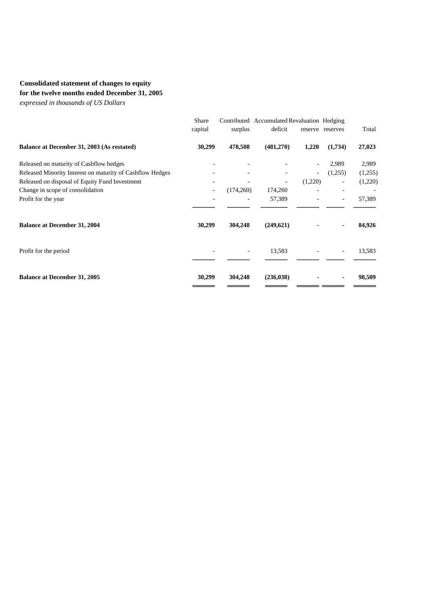### **Consolidated statement of changes to equity for the twelve months ended December 31, 2005**

*expressed in thousands of US Dollars*

|                                                           | Share<br>capital | surplus   | Contributed Accumulated Revaluation Hedging<br>deficit |                          | reserve reserves         | Total   |
|-----------------------------------------------------------|------------------|-----------|--------------------------------------------------------|--------------------------|--------------------------|---------|
| Balance at December 31, 2003 (As restated)                | 30,299           | 478,508   | (481,270)                                              | 1,220                    | (1,734)                  | 27,023  |
| Released on maturity of Cashflow hedges                   |                  |           |                                                        |                          | 2,989                    | 2,989   |
| Released Minority Interest on maturity of Cashflow Hedges |                  |           |                                                        | $\overline{\phantom{a}}$ | (1,255)                  | (1,255) |
| Released on disposal of Equity Fund Investment            |                  |           |                                                        | (1,220)                  | $\overline{\phantom{0}}$ | (1,220) |
| Change in scope of consolidation                          |                  | (174,260) | 174,260                                                |                          |                          |         |
| Profit for the year                                       |                  |           | 57,389                                                 |                          | ۰                        | 57,389  |
| <b>Balance at December 31, 2004</b>                       | 30,299           | 304,248   | (249,621)                                              |                          |                          | 84,926  |
| Profit for the period                                     |                  |           | 13,583                                                 |                          | ٠                        | 13,583  |
| <b>Balance at December 31, 2005</b>                       | 30,299           | 304,248   | (236, 038)                                             |                          |                          | 98,509  |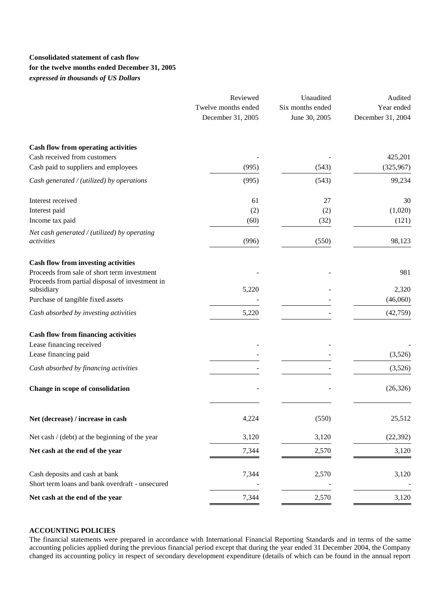### **Consolidated statement of cash flow for the twelve months ended December 31, 2005** *expressed in thousands of US Dollars*

|                                                                                                | Reviewed                                 | Unaudited                         | Audited                         |
|------------------------------------------------------------------------------------------------|------------------------------------------|-----------------------------------|---------------------------------|
|                                                                                                | Twelve months ended<br>December 31, 2005 | Six months ended<br>June 30, 2005 | Year ended<br>December 31, 2004 |
| <b>Cash flow from operating activities</b>                                                     |                                          |                                   |                                 |
| Cash received from customers                                                                   |                                          |                                   | 425,201                         |
| Cash paid to suppliers and employees                                                           | (995)                                    | (543)                             | (325,967)                       |
| Cash generated / (utilized) by operations                                                      | (995)                                    | (543)                             | 99,234                          |
| Interest received                                                                              | 61                                       | 27                                | 30                              |
| Interest paid                                                                                  | (2)                                      | (2)                               | (1,020)                         |
| Income tax paid                                                                                | (60)                                     | (32)                              | (121)                           |
| Net cash generated / (utilized) by operating<br>activities                                     | (996)                                    | (550)                             | 98,123                          |
| <b>Cash flow from investing activities</b>                                                     |                                          |                                   |                                 |
| Proceeds from sale of short term investment<br>Proceeds from partial disposal of investment in |                                          |                                   | 981                             |
| subsidiary<br>Purchase of tangible fixed assets                                                | 5,220                                    |                                   | 2,320<br>(46,060)               |
| Cash absorbed by investing activities                                                          | 5,220                                    |                                   | (42, 759)                       |
|                                                                                                |                                          |                                   |                                 |
| <b>Cash flow from financing activities</b>                                                     |                                          |                                   |                                 |
| Lease financing received<br>Lease financing paid                                               |                                          |                                   | (3,526)                         |
|                                                                                                |                                          |                                   |                                 |
| Cash absorbed by financing activities                                                          |                                          |                                   | (3,526)                         |
| Change in scope of consolidation                                                               |                                          |                                   | (26, 326)                       |
| Net (decrease) / increase in cash                                                              | 4,224                                    | (550)                             | 25,512                          |
| Net cash / (debt) at the beginning of the year                                                 | 3,120                                    | 3,120                             | (22, 392)                       |
| Net cash at the end of the year                                                                | 7,344                                    | 2,570                             | 3,120                           |
|                                                                                                |                                          |                                   |                                 |
| Cash deposits and cash at bank                                                                 | 7,344                                    | 2,570                             | 3,120                           |
| Short term loans and bank overdraft - unsecured                                                |                                          |                                   |                                 |
| Net cash at the end of the year                                                                | 7,344                                    | 2,570                             | 3,120                           |

### **ACCOUNTING POLICIES**

The financial statements were prepared in accordance with International Financial Reporting Standards and in terms of the same accounting policies applied during the previous financial period except that during the year ended 31 December 2004, the Company changed its accounting policy in respect of secondary development expenditure (details of which can be found in the annual report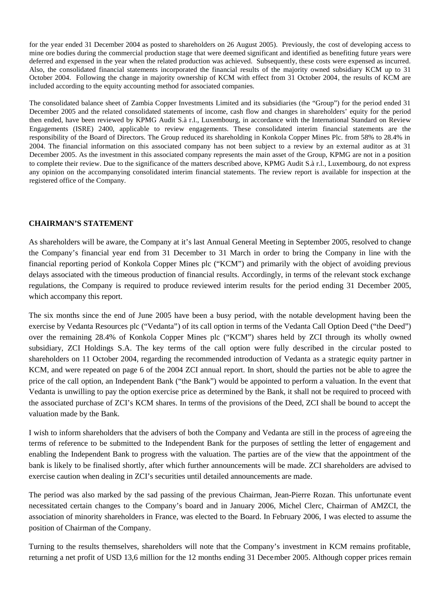for the year ended 31 December 2004 as posted to shareholders on 26 August 2005). Previously, the cost of developing access to mine ore bodies during the commercial production stage that were deemed significant and identified as benefiting future years were deferred and expensed in the year when the related production was achieved. Subsequently, these costs were expensed as incurred. Also, the consolidated financial statements incorporated the financial results of the majority owned subsidiary KCM up to 31 October 2004. Following the change in majority ownership of KCM with effect from 31 October 2004, the results of KCM are included according to the equity accounting method for associated companies.

The consolidated balance sheet of Zambia Copper Investments Limited and its subsidiaries (the "Group") for the period ended 31 December 2005 and the related consolidated statements of income, cash flow and changes in shareholders' equity for the period then ended, have been reviewed by KPMG Audit S.à r.l., Luxembourg, in accordance with the International Standard on Review Engagements (ISRE) 2400, applicable to review engagements. These consolidated interim financial statements are the responsibility of the Board of Directors. The Group reduced its shareholding in Konkola Copper Mines Plc. from 58% to 28.4% in 2004. The financial information on this associated company has not been subject to a review by an external auditor as at 31 December 2005. As the investment in this associated company represents the main asset of the Group, KPMG are not in a position to complete their review. Due to the significance of the matters described above, KPMG Audit S.à r.l., Luxembourg, do not express any opinion on the accompanying consolidated interim financial statements. The review report is available for inspection at the registered office of the Company.

### **CHAIRMAN'S STATEMENT**

As shareholders will be aware, the Company at it's last Annual General Meeting in September 2005, resolved to change the Company's financial year end from 31 December to 31 March in order to bring the Company in line with the financial reporting period of Konkola Copper Mines plc ("KCM") and primarily with the object of avoiding previous delays associated with the timeous production of financial results. Accordingly, in terms of the relevant stock exchange regulations, the Company is required to produce reviewed interim results for the period ending 31 December 2005, which accompany this report.

The six months since the end of June 2005 have been a busy period, with the notable development having been the exercise by Vedanta Resources plc ("Vedanta") of its call option in terms of the Vedanta Call Option Deed ("the Deed") over the remaining 28.4% of Konkola Copper Mines plc ("KCM") shares held by ZCI through its wholly owned subsidiary, ZCI Holdings S.A. The key terms of the call option were fully described in the circular posted to shareholders on 11 October 2004, regarding the recommended introduction of Vedanta as a strategic equity partner in KCM, and were repeated on page 6 of the 2004 ZCI annual report. In short, should the parties not be able to agree the price of the call option, an Independent Bank ("the Bank") would be appointed to perform a valuation. In the event that Vedanta is unwilling to pay the option exercise price as determined by the Bank, it shall not be required to proceed with the associated purchase of ZCI's KCM shares. In terms of the provisions of the Deed, ZCI shall be bound to accept the valuation made by the Bank.

I wish to inform shareholders that the advisers of both the Company and Vedanta are still in the process of agre eing the terms of reference to be submitted to the Independent Bank for the purposes of settling the letter of engagement and enabling the Independent Bank to progress with the valuation. The parties are of the view that the appointment of the bank is likely to be finalised shortly, after which further announcements will be made. ZCI shareholders are advised to exercise caution when dealing in ZCI's securities until detailed announcements are made.

The period was also marked by the sad passing of the previous Chairman, Jean-Pierre Rozan. This unfortunate event necessitated certain changes to the Company's board and in January 2006, Michel Clerc, Chairman of AMZCI, the association of minority shareholders in France, was elected to the Board. In February 2006, I was elected to assume the position of Chairman of the Company.

Turning to the results themselves, shareholders will note that the Company's investment in KCM remains profitable, returning a net profit of USD 13,6 million for the 12 months ending 31 December 2005. Although copper prices remain